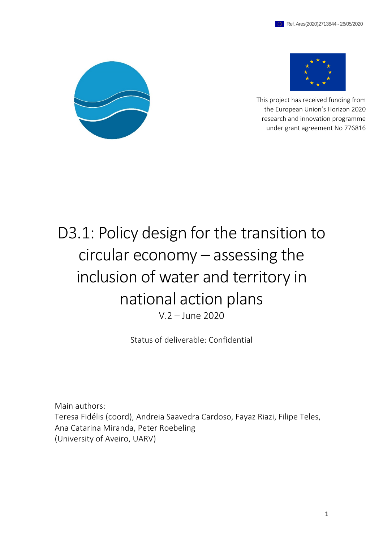



This project has received funding from the European Union's Horizon 2020 research and innovation programme under grant agreement No 776816

# D3.1: Policy design for the transition to circular economy – assessing the inclusion of water and territory in national action plans V.2 – June 2020

Status of deliverable: Confidential

Main authors: Teresa Fidélis (coord), Andreia Saavedra Cardoso, Fayaz Riazi, Filipe Teles, Ana Catarina Miranda, Peter Roebeling (University of Aveiro, UARV)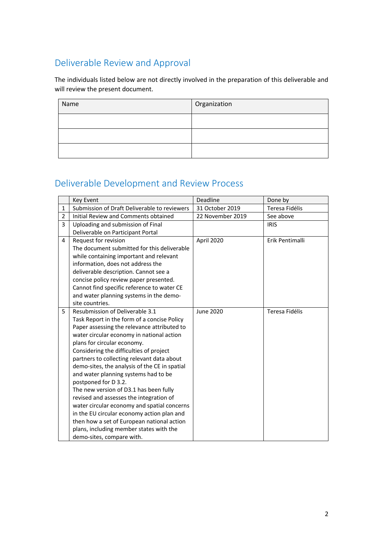# Deliverable Review and Approval

The individuals listed below are not directly involved in the preparation of this deliverable and will review the present document.

| Name | Organization |  |  |
|------|--------------|--|--|
|      |              |  |  |
|      |              |  |  |
|      |              |  |  |

# Deliverable Development and Review Process

|   | Key Event                                     | Deadline         | Done by         |  |
|---|-----------------------------------------------|------------------|-----------------|--|
| 1 | Submission of Draft Deliverable to reviewers  | 31 October 2019  | Teresa Fidélis  |  |
| 2 | Initial Review and Comments obtained          | 22 November 2019 | See above       |  |
| 3 | Uploading and submission of Final             |                  | <b>IRIS</b>     |  |
|   | Deliverable on Participant Portal             |                  |                 |  |
| 4 | Request for revision                          | April 2020       | Erik Pentimalli |  |
|   | The document submitted for this deliverable   |                  |                 |  |
|   | while containing important and relevant       |                  |                 |  |
|   | information, does not address the             |                  |                 |  |
|   | deliverable description. Cannot see a         |                  |                 |  |
|   | concise policy review paper presented.        |                  |                 |  |
|   | Cannot find specific reference to water CE    |                  |                 |  |
|   | and water planning systems in the demo-       |                  |                 |  |
|   | site countries.                               |                  |                 |  |
| 5 | Resubmission of Deliverable 3.1               | June 2020        | Teresa Fidélis  |  |
|   | Task Report in the form of a concise Policy   |                  |                 |  |
|   | Paper assessing the relevance attributed to   |                  |                 |  |
|   | water circular economy in national action     |                  |                 |  |
|   | plans for circular economy.                   |                  |                 |  |
|   | Considering the difficulties of project       |                  |                 |  |
|   | partners to collecting relevant data about    |                  |                 |  |
|   | demo-sites, the analysis of the CE in spatial |                  |                 |  |
|   | and water planning systems had to be          |                  |                 |  |
|   | postponed for D 3.2.                          |                  |                 |  |
|   | The new version of D3.1 has been fully        |                  |                 |  |
|   | revised and assesses the integration of       |                  |                 |  |
|   | water circular economy and spatial concerns   |                  |                 |  |
|   | in the EU circular economy action plan and    |                  |                 |  |
|   | then how a set of European national action    |                  |                 |  |
|   | plans, including member states with the       |                  |                 |  |
|   | demo-sites, compare with.                     |                  |                 |  |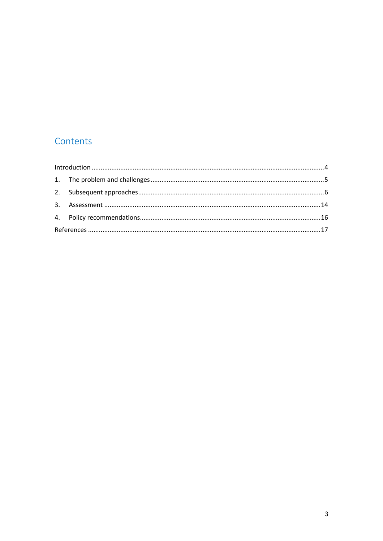# Contents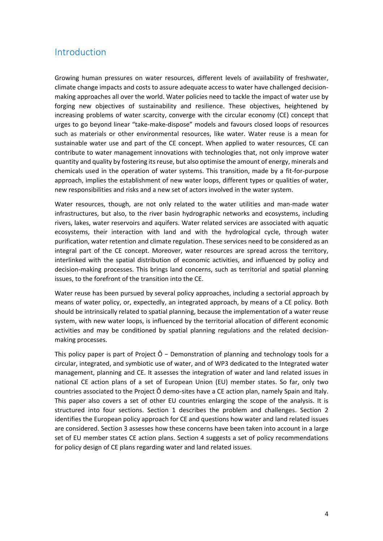### Introduction

Growing human pressures on water resources, different levels of availability of freshwater, climate change impacts and costs to assure adequate access to water have challenged decisionmaking approaches all over the world. Water policies need to tackle the impact of water use by forging new objectives of sustainability and resilience. These objectives, heightened by increasing problems of water scarcity, converge with the circular economy (CE) concept that urges to go beyond linear "take-make-dispose" models and favours closed loops of resources such as materials or other environmental resources, like water. Water reuse is a mean for sustainable water use and part of the CE concept. When applied to water resources, CE can contribute to water management innovations with technologies that, not only improve water quantity and quality by fostering its reuse, but also optimise the amount of energy, minerals and chemicals used in the operation of water systems. This transition, made by a fit-for-purpose approach, implies the establishment of new water loops, different types or qualities of water, new responsibilities and risks and a new set of actors involved in the water system.

Water resources, though, are not only related to the water utilities and man-made water infrastructures, but also, to the river basin hydrographic networks and ecosystems, including rivers, lakes, water reservoirs and aquifers. Water related services are associated with aquatic ecosystems, their interaction with land and with the hydrological cycle, through water purification, water retention and climate regulation. These services need to be considered as an integral part of the CE concept. Moreover, water resources are spread across the territory, interlinked with the spatial distribution of economic activities, and influenced by policy and decision-making processes. This brings land concerns, such as territorial and spatial planning issues, to the forefront of the transition into the CE.

Water reuse has been pursued by several policy approaches, including a sectorial approach by means of water policy, or, expectedly, an integrated approach, by means of a CE policy. Both should be intrinsically related to spatial planning, because the implementation of a water reuse system, with new water loops, is influenced by the territorial allocation of different economic activities and may be conditioned by spatial planning regulations and the related decisionmaking processes.

This policy paper is part of Project Ô − Demonstration of planning and technology tools for a circular, integrated, and symbiotic use of water, and of WP3 dedicated to the Integrated water management, planning and CE. It assesses the integration of water and land related issues in national CE action plans of a set of European Union (EU) member states. So far, only two countries associated to the Project Ô demo-sites have a CE action plan, namely Spain and Italy. This paper also covers a set of other EU countries enlarging the scope of the analysis. It is structured into four sections. Section 1 describes the problem and challenges. Section 2 identifies the European policy approach for CE and questions how water and land related issues are considered. Section 3 assesses how these concerns have been taken into account in a large set of EU member states CE action plans. Section 4 suggests a set of policy recommendations for policy design of CE plans regarding water and land related issues.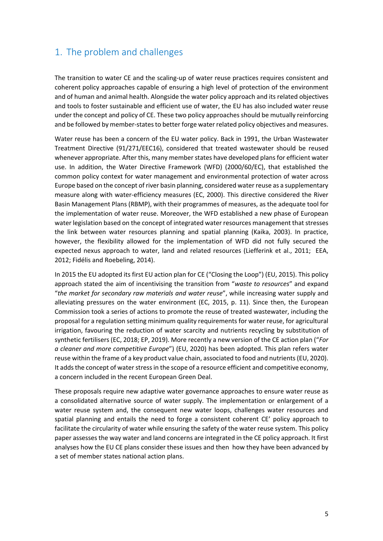# 1. The problem and challenges

The transition to water CE and the scaling-up of water reuse practices requires consistent and coherent policy approaches capable of ensuring a high level of protection of the environment and of human and animal health. Alongside the water policy approach and its related objectives and tools to foster sustainable and efficient use of water, the EU has also included water reuse under the concept and policy of CE. These two policy approaches should be mutually reinforcing and be followed by member-states to better forge water related policy objectives and measures.

Water reuse has been a concern of the EU water policy. Back in 1991, the Urban Wastewater Treatment Directive (91/271/EEC16), considered that treated wastewater should be reused whenever appropriate. After this, many member states have developed plans for efficient water use. In addition, the Water Directive Framework (WFD) (2000/60/EC), that established the common policy context for water management and environmental protection of water across Europe based on the concept of river basin planning, considered water reuse as a supplementary measure along with water-efficiency measures (EC, 2000). This directive considered the River Basin Management Plans (RBMP), with their programmes of measures, as the adequate tool for the implementation of water reuse. Moreover, the WFD established a new phase of European water legislation based on the concept of integrated water resources management that stresses the link between water resources planning and spatial planning (Kaika, 2003). In practice, however, the flexibility allowed for the implementation of WFD did not fully secured the expected nexus approach to water, land and related resources (Liefferink et al., 2011; EEA, 2012; Fidélis and Roebeling, 2014).

In 2015 the EU adopted its first EU action plan for CE ("Closing the Loop") (EU, 2015). This policy approach stated the aim of incentivising the transition from "*waste to resources*" and expand "*the market for secondary raw materials and water reuse*", while increasing water supply and alleviating pressures on the water environment (EC, 2015, p. 11). Since then, the European Commission took a series of actions to promote the reuse of treated wastewater, including the proposal for a regulation setting minimum quality requirements for water reuse, for agricultural irrigation, favouring the reduction of water scarcity and nutrients recycling by substitution of synthetic fertilisers (EC, 2018; EP, 2019). More recently a new version of the CE action plan ("*For a cleaner and more competitive Europe*") (EU, 2020) has been adopted. This plan refers water reuse within the frame of a key product value chain, associated to food and nutrients (EU, 2020). It adds the concept of water stress in the scope of a resource efficient and competitive economy, a concern included in the recent European Green Deal.

These proposals require new adaptive water governance approaches to ensure water reuse as a consolidated alternative source of water supply. The implementation or enlargement of a water reuse system and, the consequent new water loops, challenges water resources and spatial planning and entails the need to forge a consistent coherent CE' policy approach to facilitate the circularity of water while ensuring the safety of the water reuse system. This policy paper assesses the way water and land concerns are integrated in the CE policy approach. It first analyses how the EU CE plans consider these issues and then how they have been advanced by a set of member states national action plans.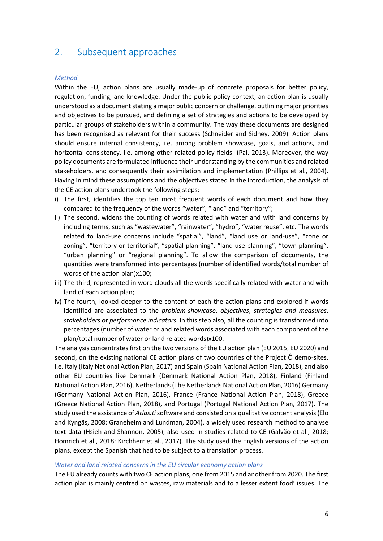### 2. Subsequent approaches

#### *Method*

Within the EU, action plans are usually made-up of concrete proposals for better policy, regulation, funding, and knowledge. Under the public policy context, an action plan is usually understood as a document stating a major public concern or challenge, outlining major priorities and objectives to be pursued, and defining a set of strategies and actions to be developed by particular groups of stakeholders within a community. The way these documents are designed has been recognised as relevant for their success (Schneider and Sidney, 2009). Action plans should ensure internal consistency, i.e. among problem showcase, goals, and actions, and horizontal consistency, i.e. among other related policy fields (Pal, 2013). Moreover, the way policy documents are formulated influence their understanding by the communities and related stakeholders, and consequently their assimilation and implementation (Phillips et al., 2004). Having in mind these assumptions and the objectives stated in the introduction, the analysis of the CE action plans undertook the following steps:

- i) The first, identifies the top ten most frequent words of each document and how they compared to the frequency of the words "water", "land" and "territory";
- ii) The second, widens the counting of words related with water and with land concerns by including terms, such as "wastewater", "rainwater", "hydro", "water reuse", etc. The words related to land-use concerns include "spatial", "land", "land use or land-use", "zone or zoning", "territory or territorial", "spatial planning", "land use planning", "town planning", "urban planning" or "regional planning". To allow the comparison of documents, the quantities were transformed into percentages (number of identified words/total number of words of the action plan)x100;
- iii) The third, represented in word clouds all the words specifically related with water and with land of each action plan;
- iv) The fourth, looked deeper to the content of each the action plans and explored if words identified are associated to the *problem-showcase*, *objectives*, *strategies and measures*, *stakeholders* or *performance indicators*. In this step also, all the counting is transformed into percentages (number of water or and related words associated with each component of the plan/total number of water or land related words)x100.

The analysis concentrates first on the two versions of the EU action plan (EU 2015, EU 2020) and second, on the existing national CE action plans of two countries of the Project Ô demo-sites, i.e. Italy (Italy National Action Plan, 2017) and Spain (Spain National Action Plan, 2018), and also other EU countries like Denmark (Denmark National Action Plan, 2018), Finland (Finland National Action Plan, 2016), Netherlands (The Netherlands National Action Plan, 2016) Germany (Germany National Action Plan, 2016), France (France National Action Plan, 2018), Greece (Greece National Action Plan, 2018), and Portugal (Portugal National Action Plan, 2017). The study used the assistance of *Atlas.ti* software and consisted on a qualitative content analysis (Elo and Kyngäs, 2008; Graneheim and Lundman, 2004), a widely used research method to analyse text data (Hsieh and Shannon, 2005), also used in studies related to CE (Galvão et al., 2018; Homrich et al., 2018; Kirchherr et al., 2017). The study used the English versions of the action plans, except the Spanish that had to be subject to a translation process.

#### *Water and land related concerns in the EU circular economy action plans*

The EU already counts with two CE action plans, one from 2015 and another from 2020. The first action plan is mainly centred on wastes, raw materials and to a lesser extent food' issues. The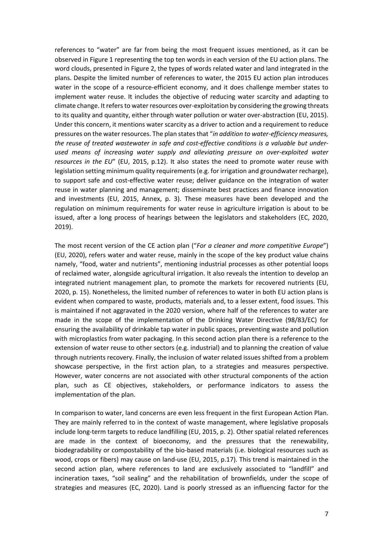references to "water" are far from being the most frequent issues mentioned, as it can be observed in Figure 1 representing the top ten words in each version of the EU action plans. The word clouds, presented in Figure 2, the types of words related water and land integrated in the plans. Despite the limited number of references to water, the 2015 EU action plan introduces water in the scope of a resource-efficient economy, and it does challenge member states to implement water reuse. It includes the objective of reducing water scarcity and adapting to climate change. It refers to water resources over-exploitation by considering the growing threats to its quality and quantity, either through water pollution or water over-abstraction (EU, 2015). Under this concern, it mentions water scarcity as a driver to action and a requirement to reduce pressures on the water resources. The plan states that "*in addition to water-efficiency measures, the reuse of treated wastewater in safe and cost-effective conditions is a valuable but underused means of increasing water supply and alleviating pressure on over-exploited water resources in the EU*" (EU, 2015, p.12). It also states the need to promote water reuse with legislation setting minimum quality requirements (e.g. for irrigation and groundwater recharge), to support safe and cost-effective water reuse; deliver guidance on the integration of water reuse in water planning and management; disseminate best practices and finance innovation and investments (EU, 2015, Annex, p. 3). These measures have been developed and the regulation on minimum requirements for water reuse in agriculture irrigation is about to be issued, after a long process of hearings between the legislators and stakeholders (EC, 2020, 2019).

The most recent version of the CE action plan ("*For a cleaner and more competitive Europe*") (EU, 2020), refers water and water reuse, mainly in the scope of the key product value chains namely, "food, water and nutrients", mentioning industrial processes as other potential loops of reclaimed water, alongside agricultural irrigation. It also reveals the intention to develop an integrated nutrient management plan, to promote the markets for recovered nutrients (EU, 2020, p. 15). Nonetheless, the limited number of references to water in both EU action plans is evident when compared to waste, products, materials and, to a lesser extent, food issues. This is maintained if not aggravated in the 2020 version, where half of the references to water are made in the scope of the implementation of the Drinking Water Directive (98/83/EC) for ensuring the availability of drinkable tap water in public spaces, preventing waste and pollution with microplastics from water packaging. In this second action plan there is a reference to the extension of water reuse to other sectors (e.g. industrial) and to planning the creation of value through nutrients recovery. Finally, the inclusion of water related issues shifted from a problem showcase perspective, in the first action plan, to a strategies and measures perspective. However, water concerns are not associated with other structural components of the action plan, such as CE objectives, stakeholders, or performance indicators to assess the implementation of the plan.

In comparison to water, land concerns are even less frequent in the first European Action Plan. They are mainly referred to in the context of waste management, where legislative proposals include long-term targets to reduce landfilling (EU, 2015, p. 2). Other spatial related references are made in the context of bioeconomy, and the pressures that the renewability, biodegradability or compostability of the bio-based materials (i.e. biological resources such as wood, crops or fibers) may cause on land-use (EU, 2015, p.17). This trend is maintained in the second action plan, where references to land are exclusively associated to "landfill" and incineration taxes, "soil sealing" and the rehabilitation of brownfields, under the scope of strategies and measures (EC, 2020). Land is poorly stressed as an influencing factor for the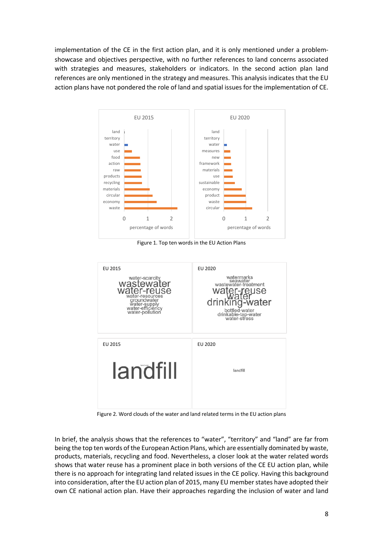implementation of the CE in the first action plan, and it is only mentioned under a problemshowcase and objectives perspective, with no further references to land concerns associated with strategies and measures, stakeholders or indicators. In the second action plan land references are only mentioned in the strategy and measures. This analysis indicates that the EU action plans have not pondered the role of land and spatial issues for the implementation of CE.



Figure 1. Top ten words in the EU Action Plans



Figure 2. Word clouds of the water and land related terms in the EU action plans

In brief, the analysis shows that the references to "water", "territory" and "land" are far from being the top ten words of the European Action Plans, which are essentially dominated by waste, products, materials, recycling and food. Nevertheless, a closer look at the water related words shows that water reuse has a prominent place in both versions of the CE EU action plan, while there is no approach for integrating land related issues in the CE policy. Having this background into consideration, after the EU action plan of 2015, many EU member states have adopted their own CE national action plan. Have their approaches regarding the inclusion of water and land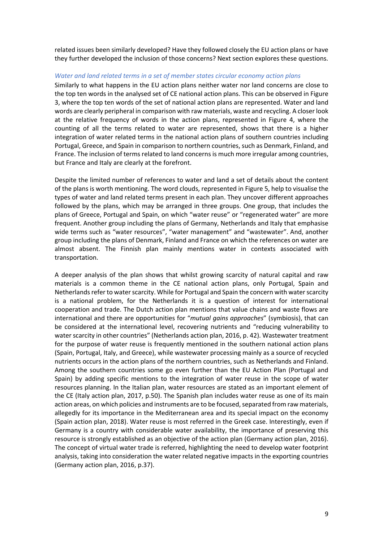related issues been similarly developed? Have they followed closely the EU action plans or have they further developed the inclusion of those concerns? Next section explores these questions.

#### *Water and land related terms in a set of member states circular economy action plans*

Similarly to what happens in the EU action plans neither water nor land concerns are close to the top ten words in the analysed set of CE national action plans. This can be observed in Figure 3, where the top ten words of the set of national action plans are represented. Water and land words are clearly peripheral in comparison with raw materials, waste and recycling. A closer look at the relative frequency of words in the action plans, represented in Figure 4, where the counting of all the terms related to water are represented, shows that there is a higher integration of water related terms in the national action plans of southern countries including Portugal, Greece, and Spain in comparison to northern countries, such as Denmark, Finland, and France. The inclusion of terms related to land concerns is much more irregular among countries, but France and Italy are clearly at the forefront.

Despite the limited number of references to water and land a set of details about the content of the plans is worth mentioning. The word clouds, represented in Figure 5, help to visualise the types of water and land related terms present in each plan. They uncover different approaches followed by the plans, which may be arranged in three groups. One group, that includes the plans of Greece, Portugal and Spain, on which "water reuse" or "regenerated water" are more frequent. Another group including the plans of Germany, Netherlands and Italy that emphasise wide terms such as "water resources", "water management" and "wastewater". And, another group including the plans of Denmark, Finland and France on which the references on water are almost absent. The Finnish plan mainly mentions water in contexts associated with transportation.

A deeper analysis of the plan shows that whilst growing scarcity of natural capital and raw materials is a common theme in the CE national action plans, only Portugal, Spain and Netherlands refer to water scarcity. While for Portugal and Spain the concern with water scarcity is a national problem, for the Netherlands it is a question of interest for international cooperation and trade. The Dutch action plan mentions that value chains and waste flows are international and there are opportunities for "*mutual gains approaches*" (symbiosis), that can be considered at the international level, recovering nutrients and "reducing vulnerability to water scarcity in other countries" (Netherlands action plan, 2016, p. 42). Wastewater treatment for the purpose of water reuse is frequently mentioned in the southern national action plans (Spain, Portugal, Italy, and Greece), while wastewater processing mainly as a source of recycled nutrients occurs in the action plans of the northern countries, such as Netherlands and Finland. Among the southern countries some go even further than the EU Action Plan (Portugal and Spain) by adding specific mentions to the integration of water reuse in the scope of water resources planning. In the Italian plan, water resources are stated as an important element of the CE (Italy action plan, 2017, p.50). The Spanish plan includes water reuse as one of its main action areas, on which policies and instruments are to be focused, separated from raw materials, allegedly for its importance in the Mediterranean area and its special impact on the economy (Spain action plan, 2018). Water reuse is most referred in the Greek case. Interestingly, even if Germany is a country with considerable water availability, the importance of preserving this resource is strongly established as an objective of the action plan (Germany action plan, 2016). The concept of virtual water trade is referred, highlighting the need to develop water footprint analysis, taking into consideration the water related negative impacts in the exporting countries (Germany action plan, 2016, p.37).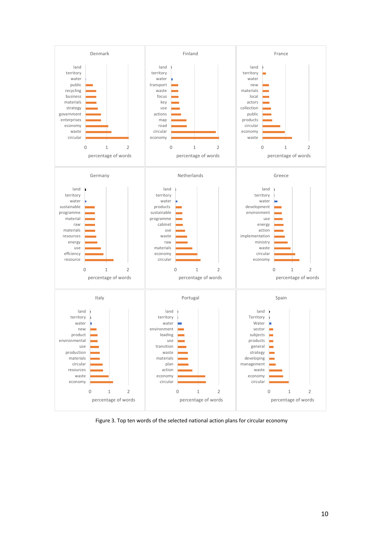

Figure 3. Top ten words of the selected national action plans for circular economy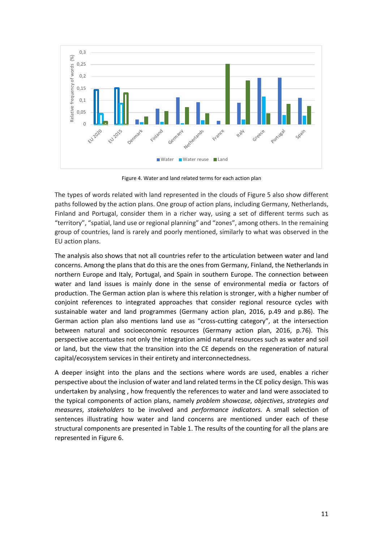

Figure 4. Water and land related terms for each action plan

The types of words related with land represented in the clouds of Figure 5 also show different paths followed by the action plans. One group of action plans, including Germany, Netherlands, Finland and Portugal, consider them in a richer way, using a set of different terms such as "territory", "spatial, land use or regional planning" and "zones", among others. In the remaining group of countries, land is rarely and poorly mentioned, similarly to what was observed in the EU action plans.

The analysis also shows that not all countries refer to the articulation between water and land concerns. Among the plans that do this are the ones from Germany, Finland, the Netherlands in northern Europe and Italy, Portugal, and Spain in southern Europe. The connection between water and land issues is mainly done in the sense of environmental media or factors of production. The German action plan is where this relation is stronger, with a higher number of conjoint references to integrated approaches that consider regional resource cycles with sustainable water and land programmes (Germany action plan, 2016, p.49 and p.86). The German action plan also mentions land use as "cross-cutting category", at the intersection between natural and socioeconomic resources (Germany action plan, 2016, p.76). This perspective accentuates not only the integration amid natural resources such as water and soil or land, but the view that the transition into the CE depends on the regeneration of natural capital/ecosystem services in their entirety and interconnectedness.

A deeper insight into the plans and the sections where words are used, enables a richer perspective about the inclusion of water and land related terms in the CE policy design. This was undertaken by analysing , how frequently the references to water and land were associated to the typical components of action plans, namely *problem showcase*, *objectives*, *strategies and measures*, *stakeholders* to be involved and *performance indicators.* A small selection of sentences illustrating how water and land concerns are mentioned under each of these structural components are presented in Table 1. The results of the counting for all the plans are represented in Figure 6.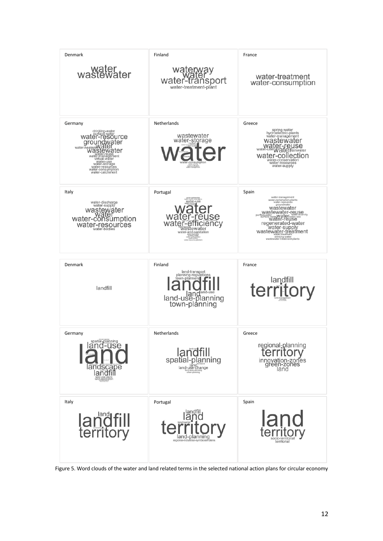| Denmark<br>water<br>wastewater                                                                                                                                                                                                | Finland<br>ransport<br>water-<br>water-treatment-plant                                                                                 | France<br>water-treatment<br>water-consumption                                                                                                                                                                                                                                                                                     |
|-------------------------------------------------------------------------------------------------------------------------------------------------------------------------------------------------------------------------------|----------------------------------------------------------------------------------------------------------------------------------------|------------------------------------------------------------------------------------------------------------------------------------------------------------------------------------------------------------------------------------------------------------------------------------------------------------------------------------|
| Germany<br>drinking-water<br>water-resource<br>groundwater<br>water-heatersWater<br>water-reuse<br>water-management<br>virtual-water<br>water-use<br>water-storage<br>water-resources<br>water-consumption<br>water-catchment | Netherlands<br>wastewater<br>water-storage<br>water-consumption<br>water-puritication                                                  | Greece<br>spring-water<br>hydroelectric-plants<br>water-management<br>wastewater<br>Water-reuse<br>water-use Water frainwater<br>water-collection<br>water-conservation<br>water-resources<br>water-supply                                                                                                                         |
| Italy<br>water-discharge<br>water-supply<br>wastewater<br>water-consumption<br>water-resources<br>water-bodies                                                                                                                | Portugal<br>water-use<br>wat<br>se<br>wate<br>icienc<br>wastewater<br>water-and-sanitation<br>dmking eater<br>eler-consumpt<br>distant | Spain<br>water-management<br>water-reclamation-plants<br>water-resources<br>groundwater<br>wastewater<br>wastewater-reuse<br>purified <sub>2</sub> w<br><b>Wate Water Water-98</b><br>Water-reuse<br>regenerated-water<br>water-supply<br>wastewater-treatment<br>water-u eatment<br>drinking-water<br>wastewater-treatment-plants |
| Denmark                                                                                                                                                                                                                       | Finland<br>land-transport<br>planning-regulations<br>town-planners                                                                     | France                                                                                                                                                                                                                                                                                                                             |
| landfill                                                                                                                                                                                                                      | land <sup>land-use</sup><br>land-use-planning<br>town-planning                                                                         | territory                                                                                                                                                                                                                                                                                                                          |
| Germany<br>spatial <sub>i</sub> planning<br>and<br>-use<br>andscape<br>landfi                                                                                                                                                 | Netherlands<br>landfill<br>spatial-planning<br>land-use-change<br>xxal-area-plannin<br>urban-planning                                  | Greece<br>regional-planning<br>innovation-zones<br>green-zones<br>land                                                                                                                                                                                                                                                             |

Figure 5. Word clouds of the water and land related terms in the selected national action plans for circular economy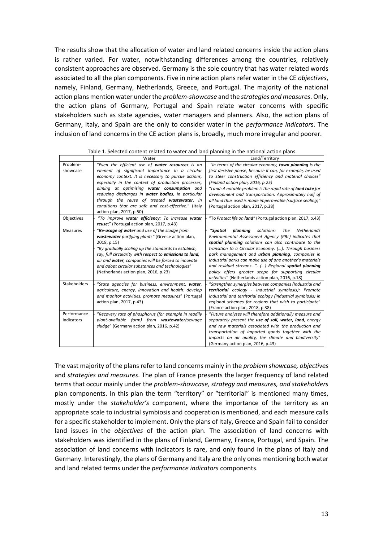The results show that the allocation of water and land related concerns inside the action plans is rather varied. For water, notwithstanding differences among the countries, relatively consistent approaches are observed. Germany is the sole country that has water related words associated to all the plan components. Five in nine action plans refer water in the CE *objectives*, namely, Finland, Germany, Netherlands, Greece, and Portugal. The majority of the national action plans mention water under the *problem-showcase* and the *strategies and measures*. Only, the action plans of Germany, Portugal and Spain relate water concerns with specific stakeholders such as state agencies, water managers and planners. Also, the action plans of Germany, Italy, and Spain are the only to consider water in the *performance indicator*s. The inclusion of land concerns in the CE action plans is, broadly, much more irregular and poorer.

|                           | Water                                                                                                                                                                                                                                                                                                                                                                                                                                                   | Land/Territory                                                                                                                                                                                                                                                                                                                                                                                                                                                                                                                        |
|---------------------------|---------------------------------------------------------------------------------------------------------------------------------------------------------------------------------------------------------------------------------------------------------------------------------------------------------------------------------------------------------------------------------------------------------------------------------------------------------|---------------------------------------------------------------------------------------------------------------------------------------------------------------------------------------------------------------------------------------------------------------------------------------------------------------------------------------------------------------------------------------------------------------------------------------------------------------------------------------------------------------------------------------|
| Problem-<br>showcase      | "Even the efficient use of water resources is an<br>element of significant importance in a circular<br>economy context. It is necessary to pursue actions,<br>especially in the context of production processes,<br>aiming at optimising water consumption and<br>reducing discharges in water bodies, in particular<br>through the reuse of treated wastewater, in<br>conditions that are safe and cost-effective." (Italy<br>action plan, 2017, p.50) | "In terms of the circular economy, town planning is the<br>first decisive phase, because it can, for example, be used<br>to steer construction efficiency and material choices"<br>(Finland action plan, 2016, p.25)<br>"Land: A notable problem is the rapid rate of <b>land take</b> for<br>development and transportation. Approximately half of<br>all land thus used is made impermeable (surface sealing)"<br>(Portugal action plan, 2017, p.38)                                                                                |
| Objectives                | "To improve water efficiency; To increase water<br>reuse;" (Portugal action plan, 2017, p.43)                                                                                                                                                                                                                                                                                                                                                           | "To Protect life on land" (Portugal action plan, 2017, p.43)                                                                                                                                                                                                                                                                                                                                                                                                                                                                          |
| <b>Measures</b>           | "Re-usage of water and use of the sludge from<br>wastewater purifying plants" (Greece action plan,<br>2018, p.15)<br>"By gradually scaling up the standards to establish,<br>say, full circularity with respect to emissions to land,<br>air and water, companies will be forced to innovate<br>and adopt circular substances and technologies"<br>(Netherlands action plan, 2016, p.23)                                                                | "Spatial<br>planning<br>solutions:<br><b>Netherlands</b><br>The<br>Environmental Assessment Agency (PBL) indicates that<br>spatial planning solutions can also contribute to the<br>transition to a Circular Economy. (). Through business<br>park management and <b>urban planning</b> , companies in<br>industrial parks can make use of one another's materials<br>and residual streams". () Regional spatial planning<br>policy offers greater scope for supporting circular<br>activities" (Netherlands action plan, 2016, p.18) |
| <b>Stakeholders</b>       | "State agencies for business, environment, water,<br>agriculture, energy, innovation and health: develop<br>and monitor activities, promote measures" (Portugal<br>action plan, 2017, p.43)                                                                                                                                                                                                                                                             | "Strengthen synergies between companies (Industrial and<br>territorial ecology - Industrial symbiosis): Promote<br>industrial and territorial ecology (industrial symbiosis) in<br>regional schemes for regions that wish to participate"<br>(France action plan, 2018, p.38)                                                                                                                                                                                                                                                         |
| Performance<br>indicators | "Recovery rate of phosphorus (for example in readily<br>plant-available form) from wastewater/sewage<br>sludge" (Germany action plan, 2016, p.42)                                                                                                                                                                                                                                                                                                       | "Future analyses will therefore additionally measure and<br>separately present the use of soil, water, land, energy<br>and raw materials associated with the production and<br>transportation of imported goods together with the<br>impacts on air quality, the climate and biodiversity"<br>(Germany action plan, 2016, p.43)                                                                                                                                                                                                       |

| Table 1. Selected content related to water and land planning in the national action plans |  |  |  |
|-------------------------------------------------------------------------------------------|--|--|--|
|                                                                                           |  |  |  |

The vast majority of the plans refer to land concerns mainly in the *problem showcase, objectives* and *strategies and measures*. The plan of France presents the larger frequency of land related terms that occur mainly under the *problem-showcase, strategy and measures, and stakeholders* plan components. In this plan the term "territory" or "territorial" is mentioned many times, mostly under the *stakeholder's* component, where the importance of the territory as an appropriate scale to industrial symbiosis and cooperation is mentioned, and each measure calls for a specific stakeholder to implement. Only the plans of Italy, Greece and Spain fail to consider land issues in the *objectives* of the action plan. The association of land concerns with stakeholders was identified in the plans of Finland, Germany, France, Portugal, and Spain. The association of land concerns with indicators is rare, and only found in the plans of Italy and Germany. Interestingly, the plans of Germany and Italy are the only ones mentioning both water and land related terms under the *performance indicators* components.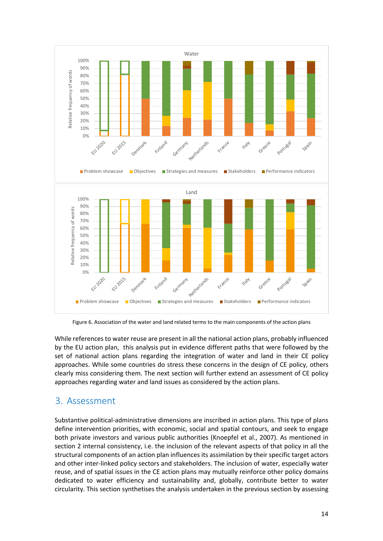

Figure 6. Association of the water and land related terms to the main components of the action plans

While references to water reuse are present in all the national action plans, probably influenced by the EU action plan, this analysis put in evidence different paths that were followed by the set of national action plans regarding the integration of water and land in their CE policy approaches. While some countries do stress these concerns in the design of CE policy, others clearly miss considering them. The next section will further extend an assessment of CE policy approaches regarding water and land issues as considered by the action plans.

## 3. Assessment

Substantive political-administrative dimensions are inscribed in action plans. This type of plans define intervention priorities, with economic, social and spatial contours, and seek to engage both private investors and various public authorities (Knoepfel et al., 2007). As mentioned in section 2 internal consistency, i.e. the inclusion of the relevant aspects of that policy in all the structural components of an action plan influences its assimilation by their specific target actors and other inter-linked policy sectors and stakeholders. The inclusion of water, especially water reuse, and of spatial issues in the CE action plans may mutually reinforce other policy domains dedicated to water efficiency and sustainability and, globally, contribute better to water circularity. This section synthetises the analysis undertaken in the previous section by assessing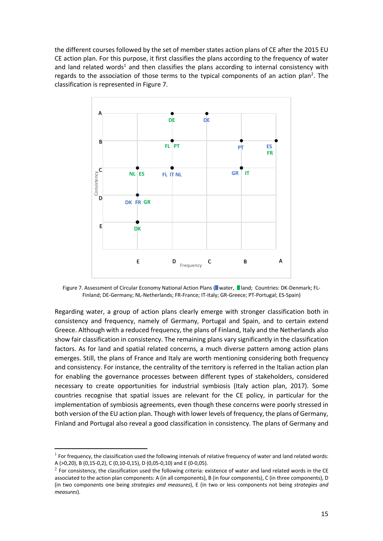the different courses followed by the set of member states action plans of CE after the 2015 EU CE action plan. For this purpose, it first classifies the plans according to the frequency of water and land related words<sup>1</sup> and then classifies the plans according to internal consistency with regards to the association of those terms to the typical components of an action plan<sup>2</sup>. The classification is represented in Figure 7.



Figure 7. Assessment of Circular Economy National Action Plans ( water, I land; Countries: DK-Denmark; FL-Finland; DE-Germany; NL-Netherlands; FR-France; IT-Italy; GR-Greece; PT-Portugal; ES-Spain)

Regarding water, a group of action plans clearly emerge with stronger classification both in consistency and frequency, namely of Germany, Portugal and Spain, and to certain extend Greece. Although with a reduced frequency, the plans of Finland, Italy and the Netherlands also show fair classification in consistency. The remaining plans vary significantly in the classification factors. As for land and spatial related concerns, a much diverse pattern among action plans emerges. Still, the plans of France and Italy are worth mentioning considering both frequency and consistency. For instance, the centrality of the territory is referred in the Italian action plan for enabling the governance processes between different types of stakeholders, considered necessary to create opportunities for industrial symbiosis (Italy action plan, 2017). Some countries recognise that spatial issues are relevant for the CE policy, in particular for the implementation of symbiosis agreements, even though these concerns were poorly stressed in both version of the EU action plan. Though with lower levels of frequency, the plans of Germany, Finland and Portugal also reveal a good classification in consistency. The plans of Germany and

 $1$  For frequency, the classification used the following intervals of relative frequency of water and land related words: A (>0,20), B (0,15-0,2), C (0,10-0,15), D (0,05-0,10) and E (0-0,05).

 $2$  For consistency, the classification used the following criteria: existence of water and land related words in the CE associated to the action plan components: A (in all components), B (in four components), C (in three components), D (in two components one being *strategies and measures*), E (in two or less components not being *strategies and measures*).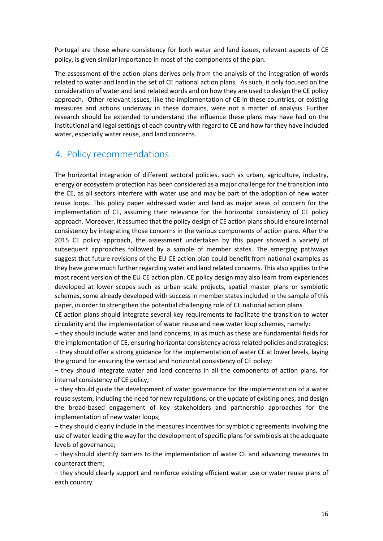Portugal are those where consistency for both water and land issues, relevant aspects of CE policy, is given similar importance in most of the components of the plan.

The assessment of the action plans derives only from the analysis of the integration of words related to water and land in the set of CE national action plans. As such, it only focused on the consideration of water and land related words and on how they are used to design the CE policy approach. Other relevant issues, like the implementation of CE in these countries, or existing measures and actions underway in these domains, were not a matter of analysis. Further research should be extended to understand the influence these plans may have had on the institutional and legal settings of each country with regard to CE and how far they have included water, especially water reuse, and land concerns.

# 4. Policy recommendations

The horizontal integration of different sectoral policies, such as urban, agriculture, industry, energy or ecosystem protection has been considered as a major challenge for the transition into the CE, as all sectors interfere with water use and may be part of the adoption of new water reuse loops. This policy paper addressed water and land as major areas of concern for the implementation of CE, assuming their relevance for the horizontal consistency of CE policy approach. Moreover, it assumed that the policy design of CE action plans should ensure internal consistency by integrating those concerns in the various components of action plans. After the 2015 CE policy approach, the assessment undertaken by this paper showed a variety of subsequent approaches followed by a sample of member states. The emerging pathways suggest that future revisions of the EU CE action plan could benefit from national examples as they have gone much further regarding water and land related concerns. This also applies to the most recent version of the EU CE action plan. CE policy design may also learn from experiences developed at lower scopes such as urban scale projects, spatial master plans or symbiotic schemes, some already developed with success in member states included in the sample of this paper, in order to strengthen the potential challenging role of CE national action plans.

CE action plans should integrate several key requirements to facilitate the transition to water circularity and the implementation of water reuse and new water loop schemes, namely:

− they should include water and land concerns, in as much as these are fundamental fields for the implementation of CE, ensuring horizontal consistency across related policies and strategies; − they should offer a strong guidance for the implementation of water CE at lower levels, laying the ground for ensuring the vertical and horizontal consistency of CE policy;

− they should integrate water and land concerns in all the components of action plans, for internal consistency of CE policy;

− they should guide the development of water governance for the implementation of a water reuse system, including the need for new regulations, or the update of existing ones, and design the broad-based engagement of key stakeholders and partnership approaches for the implementation of new water loops;

− they should clearly include in the measures incentives for symbiotic agreements involving the use of water leading the way for the development of specific plans for symbiosis at the adequate levels of governance;

− they should identify barriers to the implementation of water CE and advancing measures to counteract them;

− they should clearly support and reinforce existing efficient water use or water reuse plans of each country.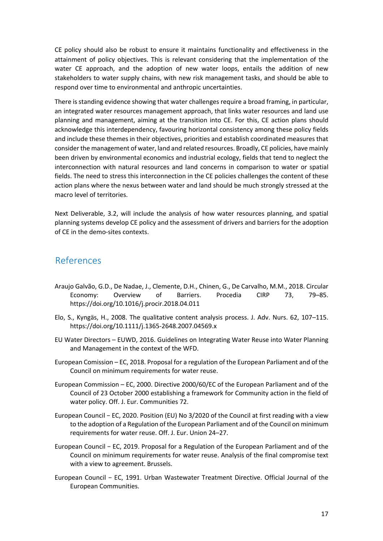CE policy should also be robust to ensure it maintains functionality and effectiveness in the attainment of policy objectives. This is relevant considering that the implementation of the water CE approach, and the adoption of new water loops, entails the addition of new stakeholders to water supply chains, with new risk management tasks, and should be able to respond over time to environmental and anthropic uncertainties.

There is standing evidence showing that water challenges require a broad framing, in particular, an integrated water resources management approach, that links water resources and land use planning and management, aiming at the transition into CE. For this, CE action plans should acknowledge this interdependency, favouring horizontal consistency among these policy fields and include these themes in their objectives, priorities and establish coordinated measures that consider the management of water, land and related resources. Broadly, CE policies, have mainly been driven by environmental economics and industrial ecology, fields that tend to neglect the interconnection with natural resources and land concerns in comparison to water or spatial fields. The need to stress this interconnection in the CE policies challenges the content of these action plans where the nexus between water and land should be much strongly stressed at the macro level of territories.

Next Deliverable, 3.2, will include the analysis of how water resources planning, and spatial planning systems develop CE policy and the assessment of drivers and barriers for the adoption of CE in the demo-sites contexts.

### References

- Araujo Galvão, G.D., De Nadae, J., Clemente, D.H., Chinen, G., De Carvalho, M.M., 2018. Circular Economy: Overview of Barriers. Procedia CIRP 73, 79–85. https://doi.org/10.1016/j.procir.2018.04.011
- Elo, S., Kyngäs, H., 2008. The qualitative content analysis process. J. Adv. Nurs. 62, 107–115. https://doi.org/10.1111/j.1365-2648.2007.04569.x
- EU Water Directors EUWD, 2016. Guidelines on Integrating Water Reuse into Water Planning and Management in the context of the WFD.
- European Comission EC, 2018. Proposal for a regulation of the European Parliament and of the Council on minimum requirements for water reuse.
- European Commission EC, 2000. Directive 2000/60/EC of the European Parliament and of the Council of 23 October 2000 establishing a framework for Community action in the field of water policy. Off. J. Eur. Communities 72.
- European Council − EC, 2020. Position (EU) No 3/2020 of the Council at first reading with a view to the adoption of a Regulation of the European Parliament and of the Council on minimum requirements for water reuse. Off. J. Eur. Union 24–27.
- European Council − EC, 2019. Proposal for a Regulation of the European Parliament and of the Council on minimum requirements for water reuse. Analysis of the final compromise text with a view to agreement. Brussels.
- European Council − EC, 1991. Urban Wastewater Treatment Directive. Official Journal of the European Communities.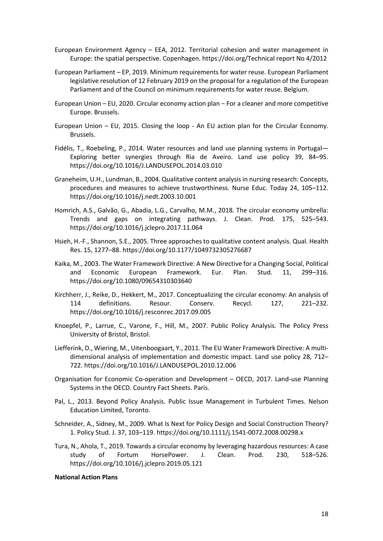- European Environment Agency EEA, 2012. Territorial cohesion and water management in Europe: the spatial perspective. Copenhagen. https://doi.org/Technical report No 4/2012
- European Parliament EP, 2019. Minimum requirements for water reuse. European Parliament legislative resolution of 12 February 2019 on the proposal for a regulation of the European Parliament and of the Council on minimum requirements for water reuse. Belgium.
- European Union EU, 2020. Circular economy action plan − For a cleaner and more competitive Europe. Brussels.
- European Union EU, 2015. Closing the loop An EU action plan for the Circular Economy. Brussels.
- Fidélis, T., Roebeling, P., 2014. Water resources and land use planning systems in Portugal— Exploring better synergies through Ria de Aveiro. Land use policy 39, 84–95. https://doi.org/10.1016/J.LANDUSEPOL.2014.03.010
- Graneheim, U.H., Lundman, B., 2004. Qualitative content analysis in nursing research: Concepts, procedures and measures to achieve trustworthiness. Nurse Educ. Today 24, 105–112. https://doi.org/10.1016/j.nedt.2003.10.001
- Homrich, A.S., Galvão, G., Abadia, L.G., Carvalho, M.M., 2018. The circular economy umbrella: Trends and gaps on integrating pathways. J. Clean. Prod. 175, 525–543. https://doi.org/10.1016/j.jclepro.2017.11.064
- Hsieh, H.-F., Shannon, S.E., 2005. Three approaches to qualitative content analysis. Qual. Health Res. 15, 1277–88. https://doi.org/10.1177/1049732305276687
- Kaika, M., 2003. The Water Framework Directive: A New Directive for a Changing Social, Political and Economic European Framework. Eur. Plan. Stud. 11, 299–316. https://doi.org/10.1080/09654310303640
- Kirchherr, J., Reike, D., Hekkert, M., 2017. Conceptualizing the circular economy: An analysis of 114 definitions. Resour. Conserv. Recycl. 127, 221–232. https://doi.org/10.1016/j.resconrec.2017.09.005
- Knoepfel, P., Larrue, C., Varone, F., Hill, M., 2007. Public Policy Analysis. The Policy Press University of Bristol, Bristol.
- Liefferink, D., Wiering, M., Uitenboogaart, Y., 2011. The EU Water Framework Directive: A multidimensional analysis of implementation and domestic impact. Land use policy 28, 712– 722. https://doi.org/10.1016/J.LANDUSEPOL.2010.12.006
- Organisation for Economic Co-operation and Development OECD, 2017. Land-use Planning Systems in the OECD. Country Fact Sheets. Paris.
- Pal, L., 2013. Beyond Policy Analysis. Public Issue Management in Turbulent Times. Nelson Education Limited, Toronto.
- Schneider, A., Sidney, M., 2009. What Is Next for Policy Design and Social Construction Theory? 1. Policy Stud. J. 37, 103–119. https://doi.org/10.1111/j.1541-0072.2008.00298.x
- Tura, N., Ahola, T., 2019. Towards a circular economy by leveraging hazardous resources: A case study of Fortum HorsePower. J. Clean. Prod. 230, 518–526. https://doi.org/10.1016/j.jclepro.2019.05.121

#### **National Action Plans**